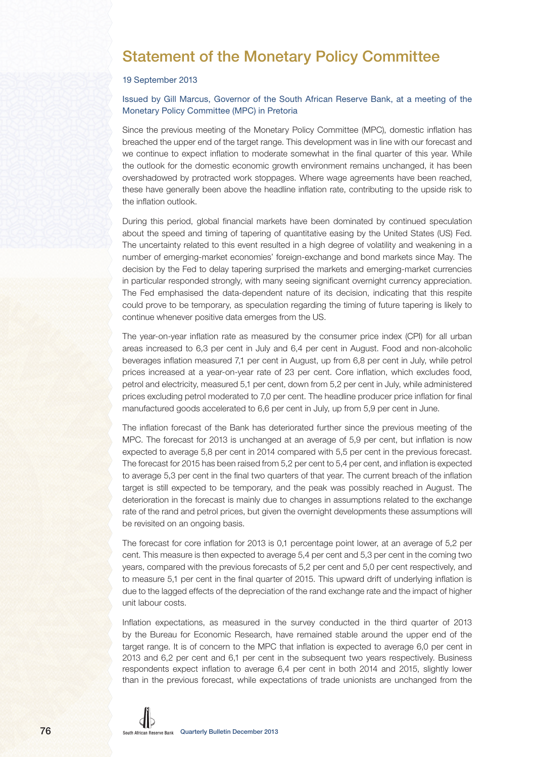## Statement of the Monetary Policy Committee

## 19 September 2013

## Issued by Gill Marcus, Governor of the South African Reserve Bank, at a meeting of the Monetary Policy Committee (MPC) in Pretoria

Since the previous meeting of the Monetary Policy Committee (MPC), domestic inflation has breached the upper end of the target range. This development was in line with our forecast and we continue to expect inflation to moderate somewhat in the final quarter of this year. While the outlook for the domestic economic growth environment remains unchanged, it has been overshadowed by protracted work stoppages. Where wage agreements have been reached, these have generally been above the headline inflation rate, contributing to the upside risk to the inflation outlook.

During this period, global financial markets have been dominated by continued speculation about the speed and timing of tapering of quantitative easing by the United States (US) Fed. The uncertainty related to this event resulted in a high degree of volatility and weakening in a number of emerging-market economies' foreign-exchange and bond markets since May. The decision by the Fed to delay tapering surprised the markets and emerging-market currencies in particular responded strongly, with many seeing significant overnight currency appreciation. The Fed emphasised the data-dependent nature of its decision, indicating that this respite could prove to be temporary, as speculation regarding the timing of future tapering is likely to continue whenever positive data emerges from the US.

The year-on-year inflation rate as measured by the consumer price index (CPI) for all urban areas increased to 6,3 per cent in July and 6,4 per cent in August. Food and non-alcoholic beverages inflation measured 7,1 per cent in August, up from 6,8 per cent in July, while petrol prices increased at a year-on-year rate of 23 per cent. Core inflation, which excludes food, petrol and electricity, measured 5,1 per cent, down from 5,2 per cent in July, while administered prices excluding petrol moderated to 7,0 per cent. The headline producer price inflation for final manufactured goods accelerated to 6,6 per cent in July, up from 5,9 per cent in June.

The inflation forecast of the Bank has deteriorated further since the previous meeting of the MPC. The forecast for 2013 is unchanged at an average of 5,9 per cent, but inflation is now expected to average 5,8 per cent in 2014 compared with 5,5 per cent in the previous forecast. The forecast for 2015 has been raised from 5,2 per cent to 5,4 per cent, and inflation is expected to average 5,3 per cent in the final two quarters of that year. The current breach of the inflation target is still expected to be temporary, and the peak was possibly reached in August. The deterioration in the forecast is mainly due to changes in assumptions related to the exchange rate of the rand and petrol prices, but given the overnight developments these assumptions will be revisited on an ongoing basis.

The forecast for core inflation for 2013 is 0,1 percentage point lower, at an average of 5,2 per cent. This measure is then expected to average 5,4 per cent and 5,3 per cent in the coming two years, compared with the previous forecasts of 5,2 per cent and 5,0 per cent respectively, and to measure 5,1 per cent in the final quarter of 2015. This upward drift of underlying inflation is due to the lagged effects of the depreciation of the rand exchange rate and the impact of higher unit labour costs.

Inflation expectations, as measured in the survey conducted in the third quarter of 2013 by the Bureau for Economic Research, have remained stable around the upper end of the target range. It is of concern to the MPC that inflation is expected to average 6,0 per cent in 2013 and 6,2 per cent and 6,1 per cent in the subsequent two years respectively. Business respondents expect inflation to average 6,4 per cent in both 2014 and 2015, slightly lower than in the previous forecast, while expectations of trade unionists are unchanged from the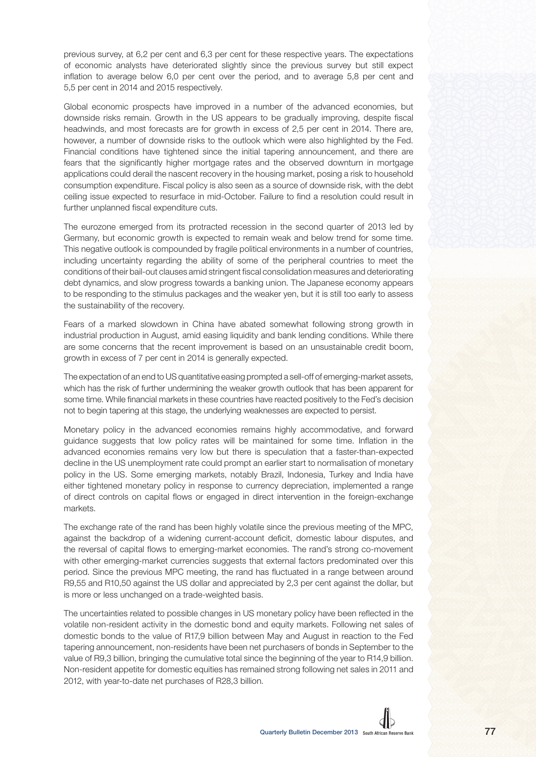previous survey, at 6,2 per cent and 6,3 per cent for these respective years. The expectations of economic analysts have deteriorated slightly since the previous survey but still expect inflation to average below 6,0 per cent over the period, and to average 5,8 per cent and 5,5 per cent in 2014 and 2015 respectively.

Global economic prospects have improved in a number of the advanced economies, but downside risks remain. Growth in the US appears to be gradually improving, despite fiscal headwinds, and most forecasts are for growth in excess of 2,5 per cent in 2014. There are, however, a number of downside risks to the outlook which were also highlighted by the Fed. Financial conditions have tightened since the initial tapering announcement, and there are fears that the significantly higher mortgage rates and the observed downturn in mortgage applications could derail the nascent recovery in the housing market, posing a risk to household consumption expenditure. Fiscal policy is also seen as a source of downside risk, with the debt ceiling issue expected to resurface in mid-October. Failure to find a resolution could result in further unplanned fiscal expenditure cuts.

The eurozone emerged from its protracted recession in the second quarter of 2013 led by Germany, but economic growth is expected to remain weak and below trend for some time. This negative outlook is compounded by fragile political environments in a number of countries, including uncertainty regarding the ability of some of the peripheral countries to meet the conditions of their bail-out clauses amid stringent fiscal consolidation measures and deteriorating debt dynamics, and slow progress towards a banking union. The Japanese economy appears to be responding to the stimulus packages and the weaker yen, but it is still too early to assess the sustainability of the recovery.

Fears of a marked slowdown in China have abated somewhat following strong growth in industrial production in August, amid easing liquidity and bank lending conditions. While there are some concerns that the recent improvement is based on an unsustainable credit boom, growth in excess of 7 per cent in 2014 is generally expected.

The expectation of an end to US quantitative easing prompted a sell-off of emerging-market assets, which has the risk of further undermining the weaker growth outlook that has been apparent for some time. While financial markets in these countries have reacted positively to the Fed's decision not to begin tapering at this stage, the underlying weaknesses are expected to persist.

Monetary policy in the advanced economies remains highly accommodative, and forward guidance suggests that low policy rates will be maintained for some time. Inflation in the advanced economies remains very low but there is speculation that a faster-than-expected decline in the US unemployment rate could prompt an earlier start to normalisation of monetary policy in the US. Some emerging markets, notably Brazil, Indonesia, Turkey and India have either tightened monetary policy in response to currency depreciation, implemented a range of direct controls on capital flows or engaged in direct intervention in the foreign-exchange markets.

The exchange rate of the rand has been highly volatile since the previous meeting of the MPC, against the backdrop of a widening current-account deficit, domestic labour disputes, and the reversal of capital flows to emerging-market economies. The rand's strong co-movement with other emerging-market currencies suggests that external factors predominated over this period. Since the previous MPC meeting, the rand has fluctuated in a range between around R9,55 and R10,50 against the US dollar and appreciated by 2,3 per cent against the dollar, but is more or less unchanged on a trade-weighted basis.

The uncertainties related to possible changes in US monetary policy have been reflected in the volatile non-resident activity in the domestic bond and equity markets. Following net sales of domestic bonds to the value of R17,9 billion between May and August in reaction to the Fed tapering announcement, non-residents have been net purchasers of bonds in September to the value of R9,3 billion, bringing the cumulative total since the beginning of the year to R14,9 billion. Non-resident appetite for domestic equities has remained strong following net sales in 2011 and 2012, with year-to-date net purchases of R28,3 billion.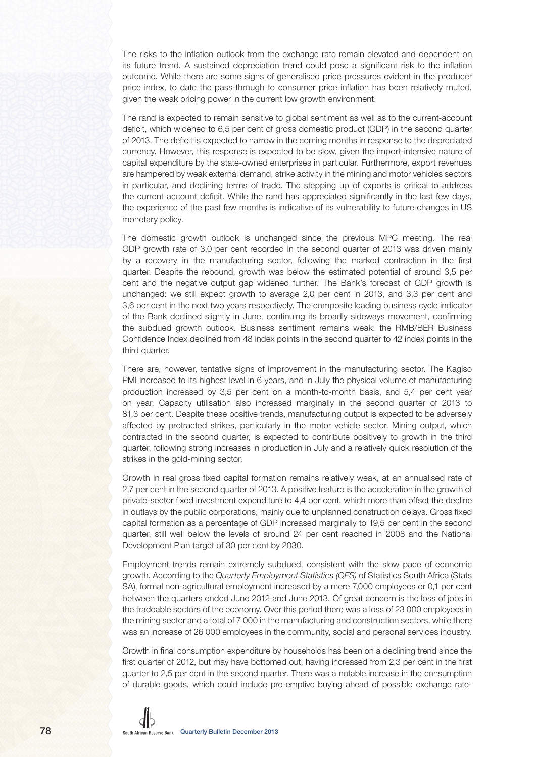The risks to the inflation outlook from the exchange rate remain elevated and dependent on its future trend. A sustained depreciation trend could pose a significant risk to the inflation outcome. While there are some signs of generalised price pressures evident in the producer price index, to date the pass-through to consumer price inflation has been relatively muted, given the weak pricing power in the current low growth environment.

The rand is expected to remain sensitive to global sentiment as well as to the current-account deficit, which widened to 6,5 per cent of gross domestic product (GDP) in the second quarter of 2013. The deficit is expected to narrow in the coming months in response to the depreciated currency. However, this response is expected to be slow, given the import-intensive nature of capital expenditure by the state-owned enterprises in particular. Furthermore, export revenues are hampered by weak external demand, strike activity in the mining and motor vehicles sectors in particular, and declining terms of trade. The stepping up of exports is critical to address the current account deficit. While the rand has appreciated significantly in the last few days, the experience of the past few months is indicative of its vulnerability to future changes in US monetary policy.

The domestic growth outlook is unchanged since the previous MPC meeting. The real GDP growth rate of 3,0 per cent recorded in the second quarter of 2013 was driven mainly by a recovery in the manufacturing sector, following the marked contraction in the first quarter. Despite the rebound, growth was below the estimated potential of around 3,5 per cent and the negative output gap widened further. The Bank's forecast of GDP growth is unchanged: we still expect growth to average 2,0 per cent in 2013, and 3,3 per cent and 3,6 per cent in the next two years respectively. The composite leading business cycle indicator of the Bank declined slightly in June, continuing its broadly sideways movement, confirming the subdued growth outlook. Business sentiment remains weak: the RMB/BER Business Confidence Index declined from 48 index points in the second quarter to 42 index points in the third quarter.

There are, however, tentative signs of improvement in the manufacturing sector. The Kagiso PMI increased to its highest level in 6 years, and in July the physical volume of manufacturing production increased by 3,5 per cent on a month-to-month basis, and 5,4 per cent year on year. Capacity utilisation also increased marginally in the second quarter of 2013 to 81,3 per cent. Despite these positive trends, manufacturing output is expected to be adversely affected by protracted strikes, particularly in the motor vehicle sector. Mining output, which contracted in the second quarter, is expected to contribute positively to growth in the third quarter, following strong increases in production in July and a relatively quick resolution of the strikes in the gold-mining sector.

Growth in real gross fixed capital formation remains relatively weak, at an annualised rate of 2,7 per cent in the second quarter of 2013. A positive feature is the acceleration in the growth of private-sector fixed investment expenditure to 4,4 per cent, which more than offset the decline in outlays by the public corporations, mainly due to unplanned construction delays. Gross fixed capital formation as a percentage of GDP increased marginally to 19,5 per cent in the second quarter, still well below the levels of around 24 per cent reached in 2008 and the National Development Plan target of 30 per cent by 2030.

Employment trends remain extremely subdued, consistent with the slow pace of economic growth. According to the Quarterly Employment Statistics (QES) of Statistics South Africa (Stats SA), formal non-agricultural employment increased by a mere 7,000 employees or 0,1 per cent between the quarters ended June 2012 and June 2013. Of great concern is the loss of jobs in the tradeable sectors of the economy. Over this period there was a loss of 23 000 employees in the mining sector and a total of 7 000 in the manufacturing and construction sectors, while there was an increase of 26 000 employees in the community, social and personal services industry.

Growth in final consumption expenditure by households has been on a declining trend since the first quarter of 2012, but may have bottomed out, having increased from 2,3 per cent in the first quarter to 2,5 per cent in the second quarter. There was a notable increase in the consumption of durable goods, which could include pre-emptive buying ahead of possible exchange rate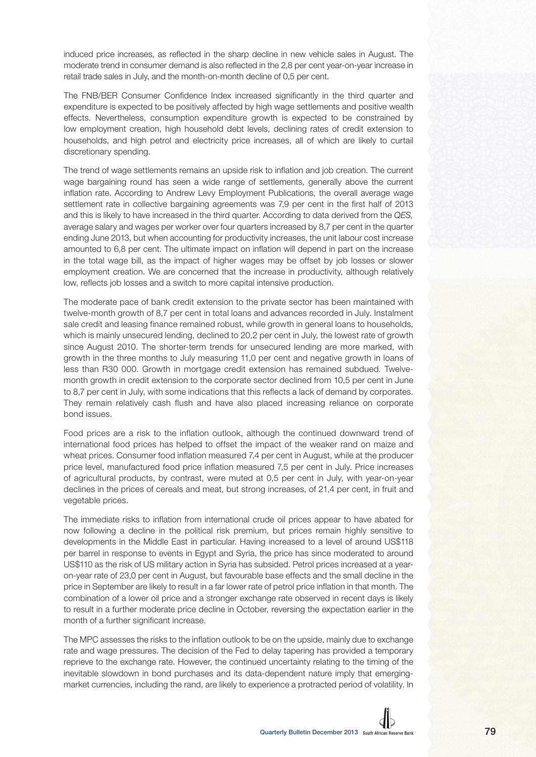induced price increases, as reflected in the sharp decline in new vehicle sales in August. The moderate trend in consumer demand is also reflected in the 2,8 per cent year-on-year increase in retail trade sales in July, and the month-on-month decline of 0,5 per cent.

The FNB/BER Consumer Confidence Index increased significantly in the third quarter and expenditure is expected to be positively affected by high wage settlements and positive wealth effects. Nevertheless, consumption expenditure growth is expected to be constrained by low employment creation, high household debt levels, declining rates of credit extension to households, and high petrol and electricity price increases, all of which are likely to curtail discretionary spending.

The trend of wage settlements remains an upside risk to inflation and job creation. The current wage bargaining round has seen a wide range of settlements, generally above the current inflation rate. According to Andrew Levy Employment Publications, the overall average wage settlement rate in collective bargaining agreements was 7.9 per cent in the first half of 2013 and this is likely to have increased in the third quarter. According to data derived from the QES, average salary and wages per worker over four quarters increased by 8,7 per cent in the quarter ending June 2013, but when accounting for productivity increases, the unit labour cost increase amounted to 6,8 per cent. The ultimate impact on inflation will depend in part on the increase in the total wage bill, as the impact of higher wages may be offset by job losses or slower employment creation. We are concerned that the increase in productivity, although relatively low, reflects job losses and a switch to more capital intensive production.

The moderate pace of bank credit extension to the private sector has been maintained with twelve-month growth of 8,7 per cent in total loans and advances recorded in July. Instalment sale credit and leasing finance remained robust, while growth in general loans to households, which is mainly unsecured lending, declined to 20,2 per cent in July, the lowest rate of growth since August 2010. The shorter-term trends for unsecured lending are more marked, with growth in the three months to July measuring 11,0 per cent and negative growth in loans of less than R30 000. Growth in mortgage credit extension has remained subdued. Twelvemonth growth in credit extension to the corporate sector declined from 10,5 per cent in June to 8,7 per cent in July, with some indications that this reflects a lack of demand by corporates. They remain relatively cash flush and have also placed increasing reliance on corporate bond issues.

Food prices are a risk to the inflation outlook, although the continued downward trend of international food prices has helped to offset the impact of the weaker rand on maize and wheat prices. Consumer food inflation measured 7,4 per cent in August, while at the producer price level, manufactured food price inflation measured 7,5 per cent in July. Price increases of agricultural products, by contrast, were muted at 0,5 per cent in July, with year-on-year declines in the prices of cereals and meat, but strong increases, of 21,4 per cent, in fruit and vegetable prices.

The immediate risks to inflation from international crude oil prices appear to have abated for now following a decline in the political risk premium, but prices remain highly sensitive to developments in the Middle East in particular. Having increased to a level of around US\$118 per barrel in response to events in Egypt and Syria, the price has since moderated to around US\$110 as the risk of US military action in Syria has subsided. Petrol prices increased at a yearon-year rate of 23,0 per cent in August, but favourable base effects and the small decline in the price in September are likely to result in a far lower rate of petrol price inflation in that month. The combination of a lower oil price and a stronger exchange rate observed in recent days is likely to result in a further moderate price decline in October, reversing the expectation earlier in the month of a further significant increase.

The MPC assesses the risks to the inflation outlook to be on the upside, mainly due to exchange rate and wage pressures. The decision of the Fed to delay tapering has provided a temporary reprieve to the exchange rate. However, the continued uncertainty relating to the timing of the inevitable slowdown in bond purchases and its data-dependent nature imply that emergingmarket currencies, including the rand, are likely to experience a protracted period of volatility. In